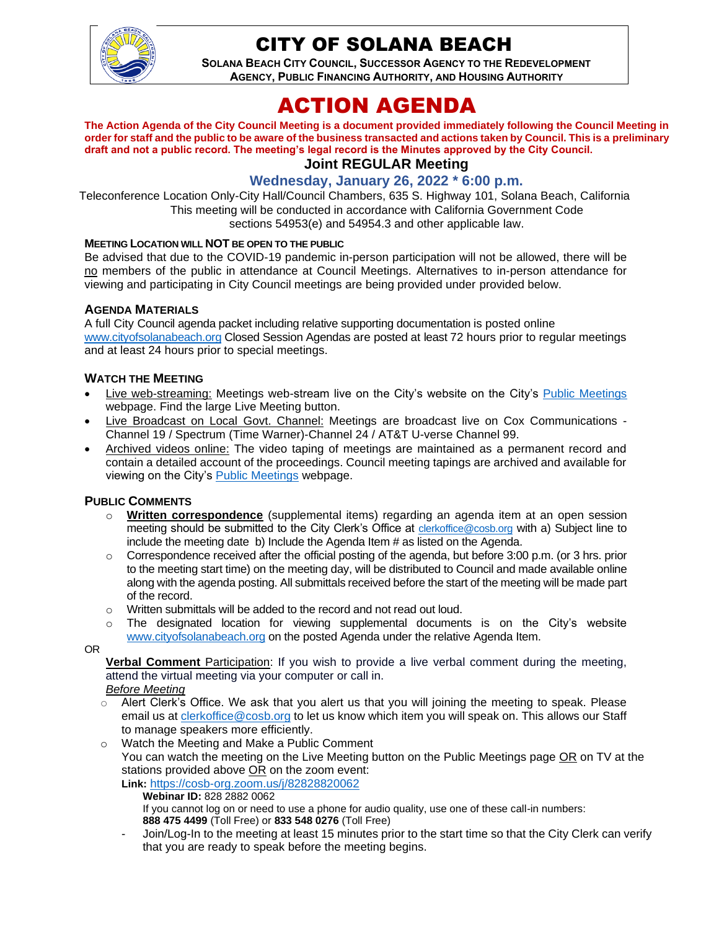

## CITY OF SOLANA BEACH

**SOLANA BEACH CITY COUNCIL, SUCCESSOR AGENCY TO THE REDEVELOPMENT AGENCY, PUBLIC FINANCING AUTHORITY, AND HOUSING AUTHORITY** 

# ACTION AGENDA

**The Action Agenda of the City Council Meeting is a document provided immediately following the Council Meeting in order for staff and the public to be aware of the business transacted and actions taken by Council. This is a preliminary draft and not a public record. The meeting's legal record is the Minutes approved by the City Council. Joint REGULAR Meeting**

### **Wednesday, January 26, 2022 \* 6:00 p.m.**

Teleconference Location Only-City Hall/Council Chambers, 635 S. Highway 101, Solana Beach, California This meeting will be conducted in accordance with California Government Code sections 54953(e) and 54954.3 and other applicable law.

#### **MEETING LOCATION WILL NOT BE OPEN TO THE PUBLIC**

Be advised that due to the COVID-19 pandemic in-person participation will not be allowed, there will be no members of the public in attendance at Council Meetings. Alternatives to in-person attendance for viewing and participating in City Council meetings are being provided under provided below.

#### **AGENDA MATERIALS**

A full City Council agenda packet including relative supporting documentation is posted online [www.cityofsolanabeach.org](http://www.cityofsolanabeach.org/) Closed Session Agendas are posted at least 72 hours prior to regular meetings and at least 24 hours prior to special meetings.

#### **WATCH THE MEETING**

- Live web-streaming: Meetings web-stream live on the City's website on the City's [Public Meetings](https://urldefense.proofpoint.com/v2/url?u=https-3A__www.ci.solana-2Dbeach.ca.us_index.asp-3FSEC-3DF0F1200D-2D21C6-2D4A88-2D8AE1-2D0BC07C1A81A7-26Type-3DB-5FBASIC&d=DwMFAg&c=euGZstcaTDllvimEN8b7jXrwqOf-v5A_CdpgnVfiiMM&r=1XAsCUuqwK_tji2t0s1uIQ&m=wny2RVfZJ2tN24LkqZmkUWNpwL_peNtTZUBlTBZiMM4&s=WwpcEQpHHkFen6nS6q2waMuQ_VMZ-i1YZ60lD-dYRRE&e=) webpage. Find the large Live Meeting button.
- Live Broadcast on Local Govt. Channel: Meetings are broadcast live on Cox Communications Channel 19 / Spectrum (Time Warner)-Channel 24 / AT&T U-verse Channel 99.
- Archived videos online: The video taping of meetings are maintained as a permanent record and contain a detailed account of the proceedings. Council meeting tapings are archived and available for viewing on the City's [Public Meetings](https://urldefense.proofpoint.com/v2/url?u=https-3A__www.ci.solana-2Dbeach.ca.us_index.asp-3FSEC-3DF0F1200D-2D21C6-2D4A88-2D8AE1-2D0BC07C1A81A7-26Type-3DB-5FBASIC&d=DwMFAg&c=euGZstcaTDllvimEN8b7jXrwqOf-v5A_CdpgnVfiiMM&r=1XAsCUuqwK_tji2t0s1uIQ&m=wny2RVfZJ2tN24LkqZmkUWNpwL_peNtTZUBlTBZiMM4&s=WwpcEQpHHkFen6nS6q2waMuQ_VMZ-i1YZ60lD-dYRRE&e=) webpage.

#### **PUBLIC COMMENTS**

- o **Written correspondence** (supplemental items) regarding an agenda item at an open session meeting should be submitted to the City Clerk's Office at [clerkoffice@cosb.org](mailto:clerkoffice@cosb.org) with a) Subject line to include the meeting date b) Include the Agenda Item # as listed on the Agenda.
- $\circ$  Correspondence received after the official posting of the agenda, but before 3:00 p.m. (or 3 hrs. prior to the meeting start time) on the meeting day, will be distributed to Council and made available online along with the agenda posting. All submittals received before the start of the meeting will be made part of the record.
- o Written submittals will be added to the record and not read out loud.
- $\circ$  The designated location for viewing supplemental documents is on the City's website [www.cityofsolanabeach.org](http://www.cityofsolanabeach.org/) on the posted Agenda under the relative Agenda Item.

OR

**Verbal Comment** Participation: If you wish to provide a live verbal comment during the meeting, attend the virtual meeting via your computer or call in.

#### *Before Meeting*

- $\circ$  Alert Clerk's Office. We ask that you alert us that you will joining the meeting to speak. Please email us at [clerkoffice@cosb.org](mailto:clerkoffice@cosb.org) to let us know which item you will speak on. This allows our Staff to manage speakers more efficiently.
- o Watch the Meeting and Make a Public Comment
	- You can watch the meeting on the Live Meeting button on the Public Meetings page OR on TV at the stations provided above OR on the zoom event:

**Link:** <https://cosb-org.zoom.us/j/82828820062>

- **Webinar ID:** 828 2882 0062 If you cannot log on or need to use a phone for audio quality, use one of these call-in numbers: **888 475 4499** (Toll Free) or **833 548 0276** (Toll Free)
- Join/Log-In to the meeting at least 15 minutes prior to the start time so that the City Clerk can verify that you are ready to speak before the meeting begins.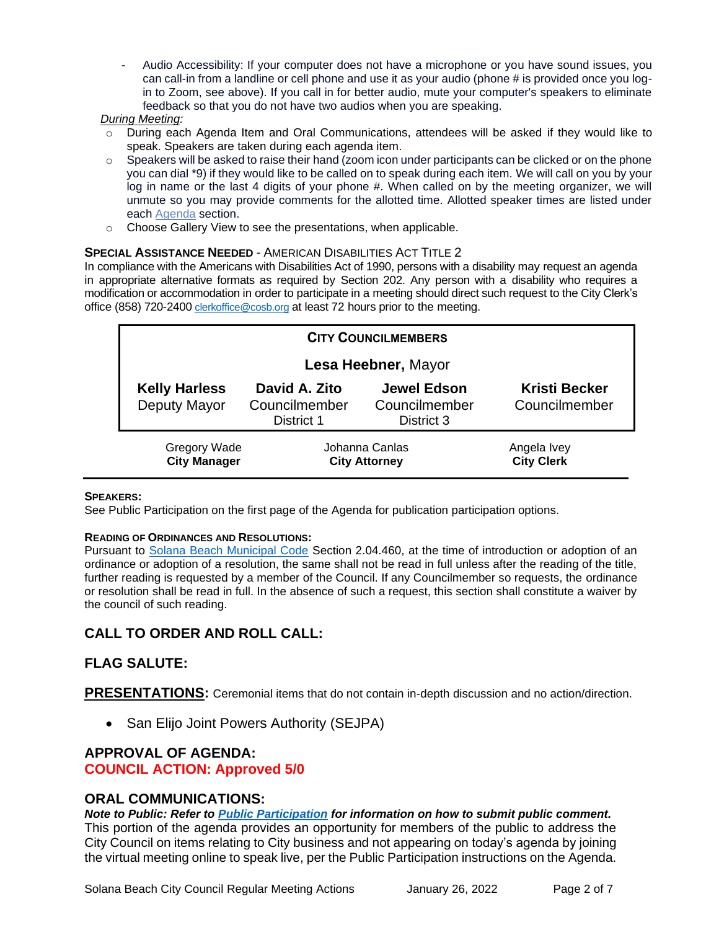- Audio Accessibility: If your computer does not have a microphone or you have sound issues, you can call-in from a landline or cell phone and use it as your audio (phone # is provided once you login to Zoom, see above). If you call in for better audio, mute your computer's speakers to eliminate feedback so that you do not have two audios when you are speaking.

#### *During Meeting:*

- During each Agenda Item and Oral Communications, attendees will be asked if they would like to speak. Speakers are taken during each agenda item.
- $\circ$  Speakers will be asked to raise their hand (zoom icon under participants can be clicked or on the phone you can dial \*9) if they would like to be called on to speak during each item. We will call on you by your log in name or the last 4 digits of your phone #. When called on by the meeting organizer, we will unmute so you may provide comments for the allotted time. Allotted speaker times are listed under each [Agenda](https://urldefense.proofpoint.com/v2/url?u=https-3A__www.ci.solana-2Dbeach.ca.us_index.asp-3FSEC-3DF0F1200D-2D21C6-2D4A88-2D8AE1-2D0BC07C1A81A7-26Type-3DB-5FBASIC&d=DwMFaQ&c=euGZstcaTDllvimEN8b7jXrwqOf-v5A_CdpgnVfiiMM&r=1XAsCUuqwK_tji2t0s1uIQ&m=C7WzXfOw2_nkEFMJClT55zZsF4tmIf_7KTn0o1WpYqI&s=3DcsWExM2_nx_xpvFtXslUjphiXd0MDCCF18y_Qy5yU&e=) section.
- o Choose Gallery View to see the presentations, when applicable.

#### **SPECIAL ASSISTANCE NEEDED** - AMERICAN DISABILITIES ACT TITLE 2

In compliance with the Americans with Disabilities Act of 1990, persons with a disability may request an agenda in appropriate alternative formats as required by Section 202. Any person with a disability who requires a modification or accommodation in order to participate in a meeting should direct such request to the City Clerk's office (858) 720-2400 [clerkoffice@cosb.org](mailto:EMAILGRP-CityClerksOfc@cosb.org) at least 72 hours prior to the meeting.

| <b>CITY COUNCILMEMBERS</b>                 |                                              |                                                   |                                       |
|--------------------------------------------|----------------------------------------------|---------------------------------------------------|---------------------------------------|
| Lesa Heebner, Mayor                        |                                              |                                                   |                                       |
| <b>Kelly Harless</b><br>Deputy Mayor       | David A. Zito<br>Councilmember<br>District 1 | <b>Jewel Edson</b><br>Councilmember<br>District 3 | <b>Kristi Becker</b><br>Councilmember |
| <b>Gregory Wade</b><br><b>City Manager</b> | Johanna Canlas<br><b>City Attorney</b>       |                                                   | Angela Ivey<br><b>City Clerk</b>      |

#### **SPEAKERS:**

See Public Participation on the first page of the Agenda for publication participation options.

#### **READING OF ORDINANCES AND RESOLUTIONS:**

Pursuant to [Solana Beach Municipal Code](https://www.codepublishing.com/CA/SolanaBeach/) Section 2.04.460, at the time of introduction or adoption of an ordinance or adoption of a resolution, the same shall not be read in full unless after the reading of the title, further reading is requested by a member of the Council. If any Councilmember so requests, the ordinance or resolution shall be read in full. In the absence of such a request, this section shall constitute a waiver by the council of such reading.

### **CALL TO ORDER AND ROLL CALL:**

### **FLAG SALUTE:**

**PRESENTATIONS:** Ceremonial items that do not contain in-depth discussion and no action/direction.

• San Elijo Joint Powers Authority (SEJPA)

### **APPROVAL OF AGENDA:**

### **COUNCIL ACTION: Approved 5/0**

### **ORAL COMMUNICATIONS:**

*Note to Public: Refer to Public Participation for information on how to submit public comment.*  This portion of the agenda provides an opportunity for members of the public to address the City Council on items relating to City business and not appearing on today's agenda by joining the virtual meeting online to speak live, per the Public Participation instructions on the Agenda.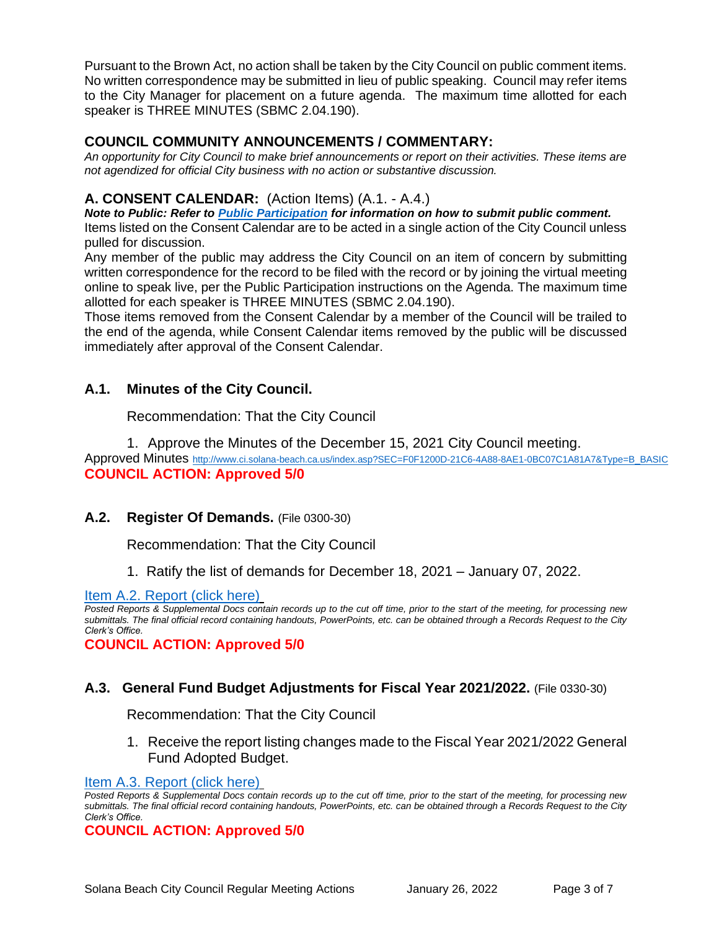Pursuant to the Brown Act, no action shall be taken by the City Council on public comment items. No written correspondence may be submitted in lieu of public speaking. Council may refer items to the City Manager for placement on a future agenda. The maximum time allotted for each speaker is THREE MINUTES (SBMC 2.04.190).

### **COUNCIL COMMUNITY ANNOUNCEMENTS / COMMENTARY:**

*An opportunity for City Council to make brief announcements or report on their activities. These items are not agendized for official City business with no action or substantive discussion.* 

### **A. CONSENT CALENDAR:** (Action Items) (A.1. - A.4.)

*Note to Public: Refer to Public Participation for information on how to submit public comment.*  Items listed on the Consent Calendar are to be acted in a single action of the City Council unless pulled for discussion.

Any member of the public may address the City Council on an item of concern by submitting written correspondence for the record to be filed with the record or by joining the virtual meeting online to speak live, per the Public Participation instructions on the Agenda. The maximum time allotted for each speaker is THREE MINUTES (SBMC 2.04.190).

Those items removed from the Consent Calendar by a member of the Council will be trailed to the end of the agenda, while Consent Calendar items removed by the public will be discussed immediately after approval of the Consent Calendar.

### **A.1. Minutes of the City Council.**

Recommendation: That the City Council

1. Approve the Minutes of the December 15, 2021 City Council meeting.

Approved Minutes [http://www.ci.solana-beach.ca.us/index.asp?SEC=F0F1200D-21C6-4A88-8AE1-0BC07C1A81A7&Type=B\\_BASIC](http://www.ci.solana-beach.ca.us/index.asp?SEC=F0F1200D-21C6-4A88-8AE1-0BC07C1A81A7&Type=B_BASIC) **COUNCIL ACTION: Approved 5/0**

### **A.2. Register Of Demands.** (File 0300-30)

Recommendation: That the City Council

1. Ratify the list of demands for December 18, 2021 – January 07, 2022.

### [Item A.2. Report \(click here\)](https://solanabeach.govoffice3.com/vertical/Sites/%7B840804C2-F869-4904-9AE3-720581350CE7%7D/uploads/Item_A.2._Report_(click_here)_-_01-26-22_-_O.pdf)

*Posted Reports & Supplemental Docs contain records up to the cut off time, prior to the start of the meeting, for processing new submittals. The final official record containing handouts, PowerPoints, etc. can be obtained through a Records Request to the City Clerk's Office.*

**COUNCIL ACTION: Approved 5/0**

### **A.3. General Fund Budget Adjustments for Fiscal Year 2021/2022.** (File 0330-30)

Recommendation: That the City Council

1. Receive the report listing changes made to the Fiscal Year 2021/2022 General Fund Adopted Budget.

[Item A.3. Report \(click here\)](https://solanabeach.govoffice3.com/vertical/Sites/%7B840804C2-F869-4904-9AE3-720581350CE7%7D/uploads/Item_A.3._Report_(click_here)_-_01-26-22_-_O(1).pdf)

**COUNCIL ACTION: Approved 5/0**

*Posted Reports & Supplemental Docs contain records up to the cut off time, prior to the start of the meeting, for processing new submittals. The final official record containing handouts, PowerPoints, etc. can be obtained through a Records Request to the City Clerk's Office.*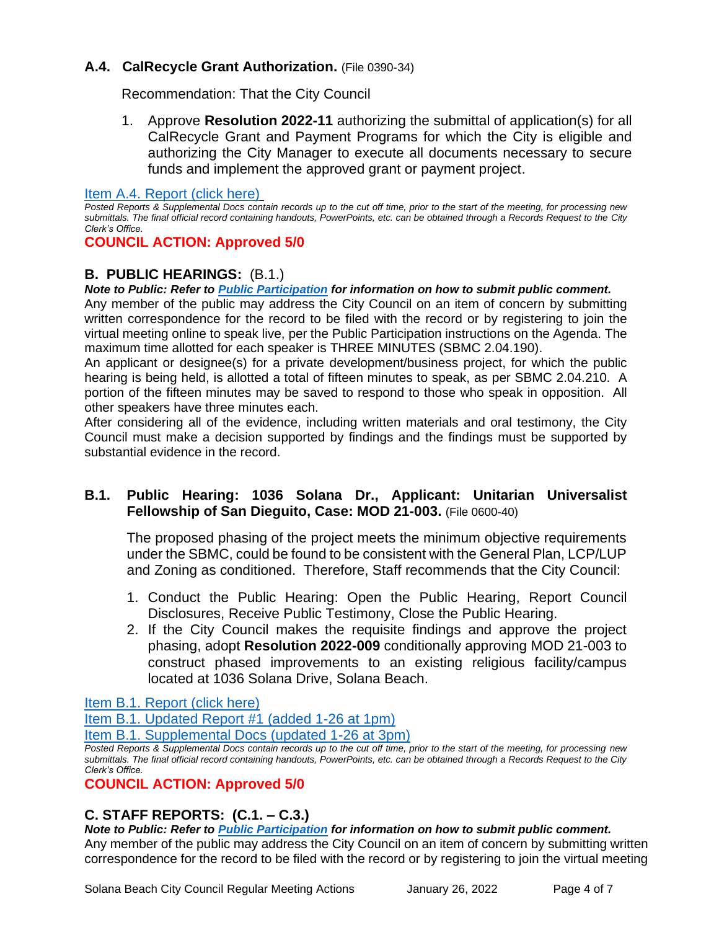### **A.4. CalRecycle Grant Authorization.** (File 0390-34)

Recommendation: That the City Council

1. Approve **Resolution 2022-11** authorizing the submittal of application(s) for all CalRecycle Grant and Payment Programs for which the City is eligible and authorizing the City Manager to execute all documents necessary to secure funds and implement the approved grant or payment project.

#### [Item A.4. Report \(click here\)](https://solanabeach.govoffice3.com/vertical/Sites/%7B840804C2-F869-4904-9AE3-720581350CE7%7D/uploads/Item_A.4._Report_(click_here)_-_1-26-22_-_O.pdf)

*Posted Reports & Supplemental Docs contain records up to the cut off time, prior to the start of the meeting, for processing new submittals. The final official record containing handouts, PowerPoints, etc. can be obtained through a Records Request to the City Clerk's Office.*

### **COUNCIL ACTION: Approved 5/0**

### **B. PUBLIC HEARINGS:** (B.1.)

*Note to Public: Refer to Public Participation for information on how to submit public comment.*  Any member of the public may address the City Council on an item of concern by submitting written correspondence for the record to be filed with the record or by registering to join the virtual meeting online to speak live, per the Public Participation instructions on the Agenda. The maximum time allotted for each speaker is THREE MINUTES (SBMC 2.04.190).

An applicant or designee(s) for a private development/business project, for which the public hearing is being held, is allotted a total of fifteen minutes to speak, as per SBMC 2.04.210. A portion of the fifteen minutes may be saved to respond to those who speak in opposition. All other speakers have three minutes each.

After considering all of the evidence, including written materials and oral testimony, the City Council must make a decision supported by findings and the findings must be supported by substantial evidence in the record.

### **B.1. Public Hearing: 1036 Solana Dr., Applicant: Unitarian Universalist Fellowship of San Dieguito, Case: MOD 21-003.** (File 0600-40)

The proposed phasing of the project meets the minimum objective requirements under the SBMC, could be found to be consistent with the General Plan, LCP/LUP and Zoning as conditioned. Therefore, Staff recommends that the City Council:

- 1. Conduct the Public Hearing: Open the Public Hearing, Report Council Disclosures, Receive Public Testimony, Close the Public Hearing.
- 2. If the City Council makes the requisite findings and approve the project phasing, adopt **Resolution 2022-009** conditionally approving MOD 21-003 to construct phased improvements to an existing religious facility/campus located at 1036 Solana Drive, Solana Beach.

[Item B.1. Report \(click here\)](https://solanabeach.govoffice3.com/vertical/Sites/%7B840804C2-F869-4904-9AE3-720581350CE7%7D/uploads/Item_B.1._Report_(click_here)_-_01-26-22_-_O.pdf)

[Item B.1. Updated Report #1 \(added 1-26 at 1pm\)](https://solanabeach.govoffice3.com/vertical/Sites/%7B840804C2-F869-4904-9AE3-720581350CE7%7D/uploads/Item_B.1._Updated_Report_1_-_1-26-22_-_O.pdf)

[Item B.1. Supplemental Docs \(updated 1-26](https://solanabeach.govoffice3.com/vertical/Sites/%7B840804C2-F869-4904-9AE3-720581350CE7%7D/uploads/Item_B.1._Supplemental_Docs_(Upd._1-26_at_3pm)_-_O.pdf) at 3pm)

*Posted Reports & Supplemental Docs contain records up to the cut off time, prior to the start of the meeting, for processing new submittals. The final official record containing handouts, PowerPoints, etc. can be obtained through a Records Request to the City Clerk's Office.*

### **COUNCIL ACTION: Approved 5/0**

### **C. STAFF REPORTS: (C.1. – C.3.)**

*Note to Public: Refer to Public Participation for information on how to submit public comment.*  Any member of the public may address the City Council on an item of concern by submitting written correspondence for the record to be filed with the record or by registering to join the virtual meeting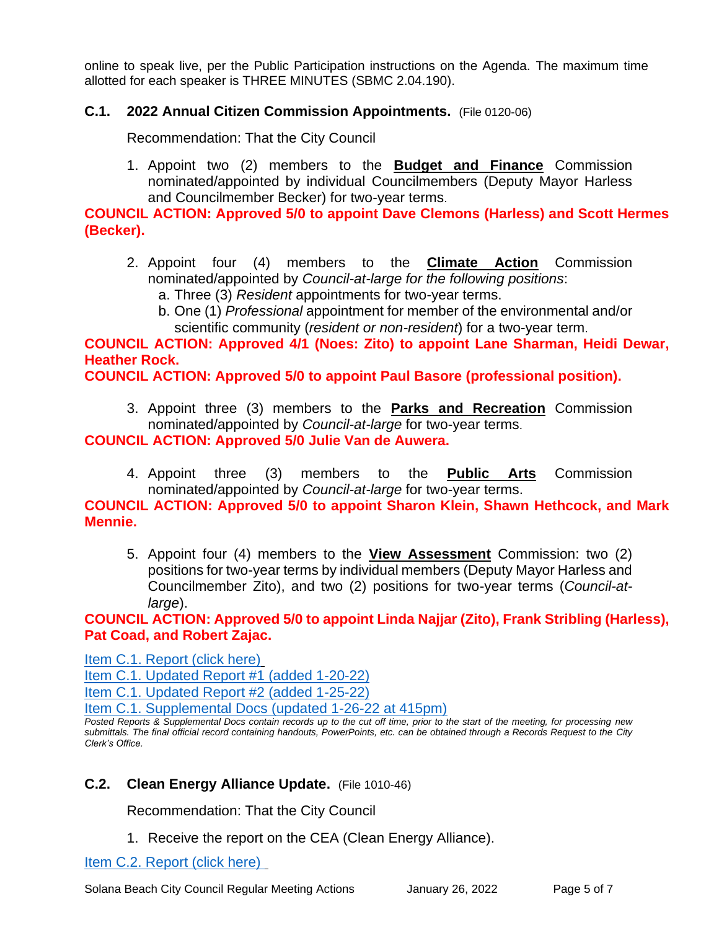online to speak live, per the Public Participation instructions on the Agenda. The maximum time allotted for each speaker is THREE MINUTES (SBMC 2.04.190).

### **C.1. 2022 Annual Citizen Commission Appointments.** (File 0120-06)

Recommendation: That the City Council

1. Appoint two (2) members to the **Budget and Finance** Commission nominated/appointed by individual Councilmembers (Deputy Mayor Harless and Councilmember Becker) for two-year terms.

**COUNCIL ACTION: Approved 5/0 to appoint Dave Clemons (Harless) and Scott Hermes (Becker).**

- 2. Appoint four (4) members to the **Climate Action** Commission nominated/appointed by *Council-at-large for the following positions*:
	- a. Three (3) *Resident* appointments for two-year terms.
	- b. One (1) *Professional* appointment for member of the environmental and/or scientific community (*resident or non-resident*) for a two-year term.

**COUNCIL ACTION: Approved 4/1 (Noes: Zito) to appoint Lane Sharman, Heidi Dewar, Heather Rock.**

**COUNCIL ACTION: Approved 5/0 to appoint Paul Basore (professional position).**

3. Appoint three (3) members to the **Parks and Recreation** Commission nominated/appointed by *Council-at-large* for two-year terms.

**COUNCIL ACTION: Approved 5/0 Julie Van de Auwera.**

4. Appoint three (3) members to the **Public Arts** Commission nominated/appointed by *Council-at-large* for two-year terms.

**COUNCIL ACTION: Approved 5/0 to appoint Sharon Klein, Shawn Hethcock, and Mark Mennie.**

5. Appoint four (4) members to the **View Assessment** Commission: two (2) positions for two-year terms by individual members (Deputy Mayor Harless and Councilmember Zito), and two (2) positions for two-year terms (*Council-atlarge*).

**COUNCIL ACTION: Approved 5/0 to appoint Linda Najjar (Zito), Frank Stribling (Harless), Pat Coad, and Robert Zajac.**

[Item C.1. Report \(click here\)](https://solanabeach.govoffice3.com/vertical/Sites/%7B840804C2-F869-4904-9AE3-720581350CE7%7D/uploads/Item_C.1._Report_(click_here)_-_01-26-22_-_O.pdf)

[Item C.1. Updated Report #1 \(added 1-20-22\)](https://solanabeach.govoffice3.com/vertical/Sites/%7B840804C2-F869-4904-9AE3-720581350CE7%7D/uploads/Item_C.1._Updated_Report_1_-_1-20-22_-_O.pdf)

[Item C.1. Updated Report #2 \(added 1-25-22\)](https://solanabeach.govoffice3.com/vertical/Sites/%7B840804C2-F869-4904-9AE3-720581350CE7%7D/uploads/Item_C.1._Updated_Report_2_-_1-25-22_-_O.pdf)

[Item C.1. Supplemental Docs \(updated 1-26-22 at 415pm\)](https://solanabeach.govoffice3.com/vertical/Sites/%7B840804C2-F869-4904-9AE3-720581350CE7%7D/uploads/Item_C.1._Supplemental_Docs_(Upd._1-26_at_415pm)_-_O.pdf)

*Posted Reports & Supplemental Docs contain records up to the cut off time, prior to the start of the meeting, for processing new submittals. The final official record containing handouts, PowerPoints, etc. can be obtained through a Records Request to the City Clerk's Office.*

### **C.2. Clean Energy Alliance Update.** (File 1010-46)

Recommendation: That the City Council

1. Receive the report on the CEA (Clean Energy Alliance).

[Item C.2. Report](https://solanabeach.govoffice3.com/vertical/Sites/%7B840804C2-F869-4904-9AE3-720581350CE7%7D/uploads/Item_C.2._Report_(click_here)_-_01-26-22_-_O.pdf) (click here)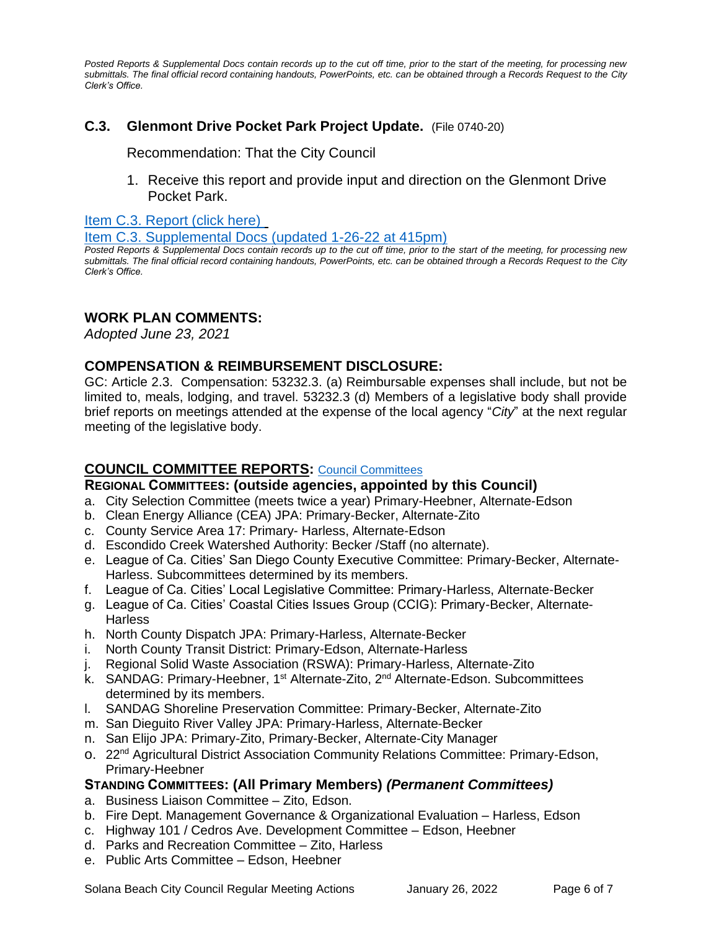*Posted Reports & Supplemental Docs contain records up to the cut off time, prior to the start of the meeting, for processing new submittals. The final official record containing handouts, PowerPoints, etc. can be obtained through a Records Request to the City Clerk's Office.*

### **C.3. Glenmont Drive Pocket Park Project Update.** (File 0740-20)

Recommendation: That the City Council

1. Receive this report and provide input and direction on the Glenmont Drive Pocket Park.

[Item C.3. Report \(click here\)](https://solanabeach.govoffice3.com/vertical/Sites/%7B840804C2-F869-4904-9AE3-720581350CE7%7D/uploads/Item_C.3._Report_(click_here)_-_01-26-22_-_O.pdf) 

[Item C.3. Supplemental Docs \(updated 1-26-22 at 415pm\)](https://solanabeach.govoffice3.com/vertical/Sites/%7B840804C2-F869-4904-9AE3-720581350CE7%7D/uploads/Item_C.3._Supplemental_Docs_(upd._1-26_at_415pm)_-_O.pdf)

*Posted Reports & Supplemental Docs contain records up to the cut off time, prior to the start of the meeting, for processing new submittals. The final official record containing handouts, PowerPoints, etc. can be obtained through a Records Request to the City Clerk's Office.*

### **WORK PLAN COMMENTS:**

*Adopted June 23, 2021*

### **COMPENSATION & REIMBURSEMENT DISCLOSURE:**

GC: Article 2.3. Compensation: 53232.3. (a) Reimbursable expenses shall include, but not be limited to, meals, lodging, and travel. 53232.3 (d) Members of a legislative body shall provide brief reports on meetings attended at the expense of the local agency "*City*" at the next regular meeting of the legislative body.

### **COUNCIL COMMITTEE REPORTS:** [Council Committees](https://www.ci.solana-beach.ca.us/index.asp?SEC=584E1192-3850-46EA-B977-088AC3E81E0D&Type=B_BASIC)

### **REGIONAL COMMITTEES: (outside agencies, appointed by this Council)**

- a. City Selection Committee (meets twice a year) Primary-Heebner, Alternate-Edson
- b. Clean Energy Alliance (CEA) JPA: Primary-Becker, Alternate-Zito
- c. County Service Area 17: Primary- Harless, Alternate-Edson
- d. Escondido Creek Watershed Authority: Becker /Staff (no alternate).
- e. League of Ca. Cities' San Diego County Executive Committee: Primary-Becker, Alternate-Harless. Subcommittees determined by its members.
- f. League of Ca. Cities' Local Legislative Committee: Primary-Harless, Alternate-Becker
- g. League of Ca. Cities' Coastal Cities Issues Group (CCIG): Primary-Becker, Alternate-**Harless**
- h. North County Dispatch JPA: Primary-Harless, Alternate-Becker
- i. North County Transit District: Primary-Edson, Alternate-Harless
- j. Regional Solid Waste Association (RSWA): Primary-Harless, Alternate-Zito
- k. SANDAG: Primary-Heebner, 1<sup>st</sup> Alternate-Zito, 2<sup>nd</sup> Alternate-Edson. Subcommittees determined by its members.
- l. SANDAG Shoreline Preservation Committee: Primary-Becker, Alternate-Zito
- m. San Dieguito River Valley JPA: Primary-Harless, Alternate-Becker
- n. San Elijo JPA: Primary-Zito, Primary-Becker, Alternate-City Manager
- o. 22<sup>nd</sup> Agricultural District Association Community Relations Committee: Primary-Edson, Primary-Heebner

### **STANDING COMMITTEES: (All Primary Members)** *(Permanent Committees)*

- a. Business Liaison Committee Zito, Edson.
- b. Fire Dept. Management Governance & Organizational Evaluation Harless, Edson
- c. Highway 101 / Cedros Ave. Development Committee Edson, Heebner
- d. Parks and Recreation Committee Zito, Harless
- e. Public Arts Committee Edson, Heebner